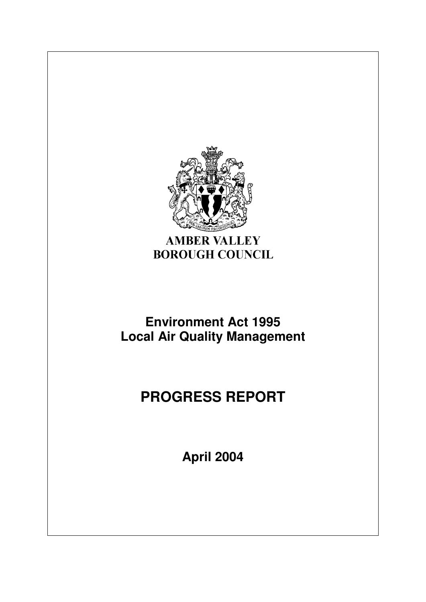

**AMBER VALLEY BOROUGH COUNCIL** 

## **Environment Act 1995 Local Air Quality Management**

# **PROGRESS REPORT**

**April 2004**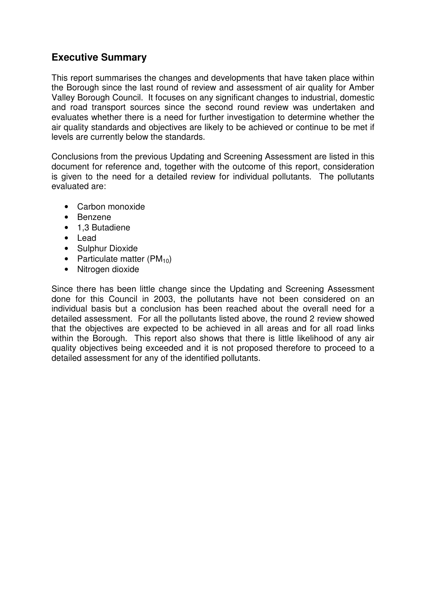## **Executive Summary**

This report summarises the changes and developments that have taken place within the Borough since the last round of review and assessment of air quality for Amber Valley Borough Council. It focuses on any significant changes to industrial, domestic and road transport sources since the second round review was undertaken and evaluates whether there is a need for further investigation to determine whether the air quality standards and objectives are likely to be achieved or continue to be met if levels are currently below the standards.

Conclusions from the previous Updating and Screening Assessment are listed in this document for reference and, together with the outcome of this report, consideration is given to the need for a detailed review for individual pollutants. The pollutants evaluated are:

- Carbon monoxide
- Benzene
- 1,3 Butadiene
- Lead
- Sulphur Dioxide
- Particulate matter  $(PM_{10})$
- Nitrogen dioxide

Since there has been little change since the Updating and Screening Assessment done for this Council in 2003, the pollutants have not been considered on an individual basis but a conclusion has been reached about the overall need for a detailed assessment. For all the pollutants listed above, the round 2 review showed that the objectives are expected to be achieved in all areas and for all road links within the Borough. This report also shows that there is little likelihood of any air quality objectives being exceeded and it is not proposed therefore to proceed to a detailed assessment for any of the identified pollutants.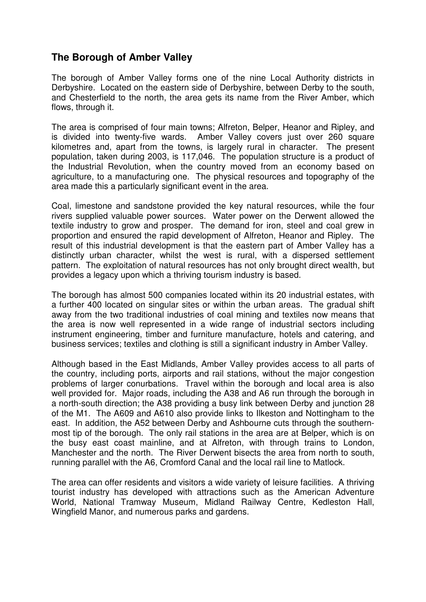## **The Borough of Amber Valley**

The borough of Amber Valley forms one of the nine Local Authority districts in Derbyshire. Located on the eastern side of Derbyshire, between Derby to the south, and Chesterfield to the north, the area gets its name from the River Amber, which flows, through it.

The area is comprised of four main towns; Alfreton, Belper, Heanor and Ripley, and is divided into twenty-five wards. Amber Valley covers just over 260 square kilometres and, apart from the towns, is largely rural in character. The present population, taken during 2003, is 117,046. The population structure is a product of the Industrial Revolution, when the country moved from an economy based on agriculture, to a manufacturing one. The physical resources and topography of the area made this a particularly significant event in the area.

Coal, limestone and sandstone provided the key natural resources, while the four rivers supplied valuable power sources. Water power on the Derwent allowed the textile industry to grow and prosper. The demand for iron, steel and coal grew in proportion and ensured the rapid development of Alfreton, Heanor and Ripley. The result of this industrial development is that the eastern part of Amber Valley has a distinctly urban character, whilst the west is rural, with a dispersed settlement pattern. The exploitation of natural resources has not only brought direct wealth, but provides a legacy upon which a thriving tourism industry is based.

The borough has almost 500 companies located within its 20 industrial estates, with a further 400 located on singular sites or within the urban areas. The gradual shift away from the two traditional industries of coal mining and textiles now means that the area is now well represented in a wide range of industrial sectors including instrument engineering, timber and furniture manufacture, hotels and catering, and business services; textiles and clothing is still a significant industry in Amber Valley.

Although based in the East Midlands, Amber Valley provides access to all parts of the country, including ports, airports and rail stations, without the major congestion problems of larger conurbations. Travel within the borough and local area is also well provided for. Major roads, including the A38 and A6 run through the borough in a north-south direction; the A38 providing a busy link between Derby and junction 28 of the M1. The A609 and A610 also provide links to Ilkeston and Nottingham to the east. In addition, the A52 between Derby and Ashbourne cuts through the southernmost tip of the borough. The only rail stations in the area are at Belper, which is on the busy east coast mainline, and at Alfreton, with through trains to London, Manchester and the north. The River Derwent bisects the area from north to south, running parallel with the A6, Cromford Canal and the local rail line to Matlock.

The area can offer residents and visitors a wide variety of leisure facilities. A thriving tourist industry has developed with attractions such as the American Adventure World, National Tramway Museum, Midland Railway Centre, Kedleston Hall, Wingfield Manor, and numerous parks and gardens.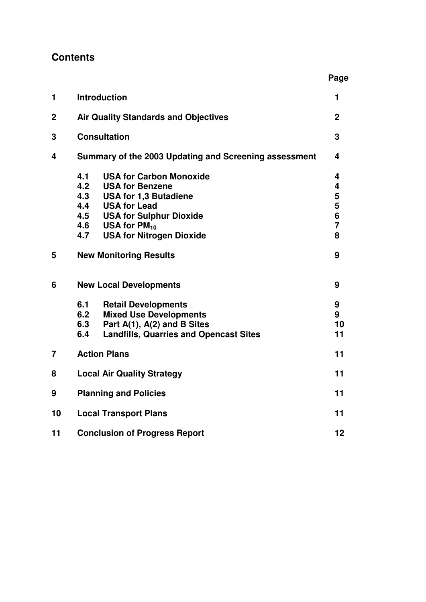## **Contents**

|                |                                                                                                                                                                                                                                                            | Page                                         |  |
|----------------|------------------------------------------------------------------------------------------------------------------------------------------------------------------------------------------------------------------------------------------------------------|----------------------------------------------|--|
| 1              | <b>Introduction</b>                                                                                                                                                                                                                                        |                                              |  |
| $\mathbf 2$    | <b>Air Quality Standards and Objectives</b>                                                                                                                                                                                                                |                                              |  |
| 3              | <b>Consultation</b>                                                                                                                                                                                                                                        |                                              |  |
| 4              | Summary of the 2003 Updating and Screening assessment                                                                                                                                                                                                      |                                              |  |
|                | 4.1<br><b>USA for Carbon Monoxide</b><br>4.2<br><b>USA for Benzene</b><br>4.3<br><b>USA for 1,3 Butadiene</b><br>4.4<br><b>USA for Lead</b><br>4.5<br><b>USA for Sulphur Dioxide</b><br>4.6<br>USA for $PM_{10}$<br>4.7<br><b>USA for Nitrogen Dioxide</b> | 4<br>4<br>5<br>5<br>6<br>$\overline{7}$<br>8 |  |
| 5              | <b>New Monitoring Results</b>                                                                                                                                                                                                                              | 9                                            |  |
| 6              | <b>New Local Developments</b>                                                                                                                                                                                                                              | 9                                            |  |
|                | 6.1<br><b>Retail Developments</b><br><b>Mixed Use Developments</b><br>6.2<br>6.3<br>Part A(1), A(2) and B Sites<br>6.4<br><b>Landfills, Quarries and Opencast Sites</b>                                                                                    | 9<br>9<br>10<br>11                           |  |
| $\overline{7}$ | <b>Action Plans</b>                                                                                                                                                                                                                                        |                                              |  |
| 8              | <b>Local Air Quality Strategy</b>                                                                                                                                                                                                                          |                                              |  |
| 9              | <b>Planning and Policies</b>                                                                                                                                                                                                                               |                                              |  |
| 10             | <b>Local Transport Plans</b>                                                                                                                                                                                                                               |                                              |  |
| 11             | <b>Conclusion of Progress Report</b>                                                                                                                                                                                                                       |                                              |  |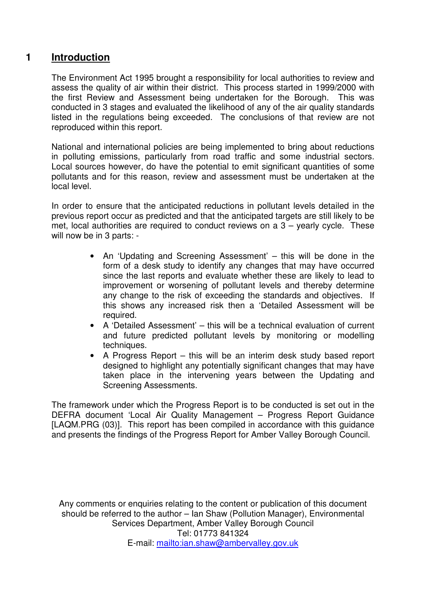## **1 Introduction**

The Environment Act 1995 brought a responsibility for local authorities to review and assess the quality of air within their district. This process started in 1999/2000 with the first Review and Assessment being undertaken for the Borough. This was conducted in 3 stages and evaluated the likelihood of any of the air quality standards listed in the regulations being exceeded. The conclusions of that review are not reproduced within this report.

National and international policies are being implemented to bring about reductions in polluting emissions, particularly from road traffic and some industrial sectors. Local sources however, do have the potential to emit significant quantities of some pollutants and for this reason, review and assessment must be undertaken at the local level.

In order to ensure that the anticipated reductions in pollutant levels detailed in the previous report occur as predicted and that the anticipated targets are still likely to be met, local authorities are required to conduct reviews on a 3 – yearly cycle. These will now be in 3 parts: -

- An 'Updating and Screening Assessment' this will be done in the form of a desk study to identify any changes that may have occurred since the last reports and evaluate whether these are likely to lead to improvement or worsening of pollutant levels and thereby determine any change to the risk of exceeding the standards and objectives. If this shows any increased risk then a 'Detailed Assessment will be required.
- A 'Detailed Assessment' this will be a technical evaluation of current and future predicted pollutant levels by monitoring or modelling techniques.
- A Progress Report this will be an interim desk study based report designed to highlight any potentially significant changes that may have taken place in the intervening years between the Updating and Screening Assessments.

The framework under which the Progress Report is to be conducted is set out in the DEFRA document 'Local Air Quality Management – Progress Report Guidance [LAQM.PRG (03)]. This report has been compiled in accordance with this guidance and presents the findings of the Progress Report for Amber Valley Borough Council.

Any comments or enquiries relating to the content or publication of this document should be referred to the author – Ian Shaw (Pollution Manager), Environmental Services Department, Amber Valley Borough Council Tel: 01773 841324 E-mail: mailto:ian.shaw@ambervalley.gov.uk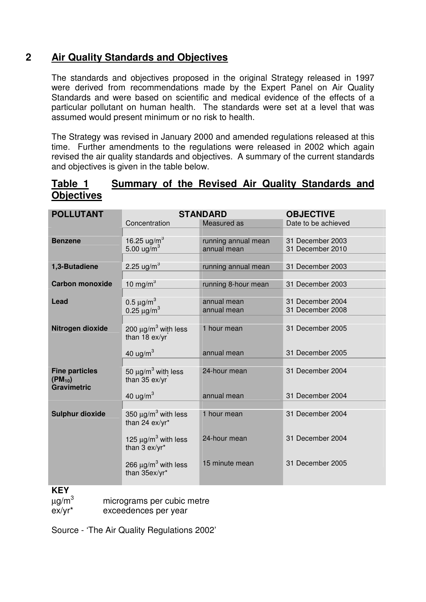## **2 Air Quality Standards and Objectives**

The standards and objectives proposed in the original Strategy released in 1997 were derived from recommendations made by the Expert Panel on Air Quality Standards and were based on scientific and medical evidence of the effects of a particular pollutant on human health. The standards were set at a level that was assumed would present minimum or no risk to health.

The Strategy was revised in January 2000 and amended regulations released at this time. Further amendments to the regulations were released in 2002 which again revised the air quality standards and objectives. A summary of the current standards and objectives is given in the table below.

## **Table 1 Summary of the Revised Air Quality Standards and Objectives**

| <b>POLLUTANT</b>                     |                                                        | <b>STANDARD</b>                    | <b>OBJECTIVE</b>                     |
|--------------------------------------|--------------------------------------------------------|------------------------------------|--------------------------------------|
|                                      | Concentration                                          | Measured as                        | Date to be achieved                  |
|                                      |                                                        |                                    |                                      |
| <b>Benzene</b>                       | 16.25 ug/m <sup>3</sup><br>5.00 $\mu$ g/m <sup>3</sup> | running annual mean<br>annual mean | 31 December 2003<br>31 December 2010 |
|                                      |                                                        |                                    |                                      |
| 1,3-Butadiene                        | 2.25 ug/m <sup>3</sup>                                 | running annual mean                | 31 December 2003                     |
|                                      |                                                        |                                    |                                      |
| <b>Carbon monoxide</b>               | 10 mg/m $3$                                            | running 8-hour mean                | 31 December 2003                     |
|                                      |                                                        |                                    |                                      |
| Lead                                 | 0.5 $\mu$ g/m <sup>3</sup>                             | annual mean<br>annual mean         | 31 December 2004<br>31 December 2008 |
|                                      | 0.25 $\mu$ g/m <sup>3</sup>                            |                                    |                                      |
| Nitrogen dioxide                     | 200 $\mu$ g/m <sup>3</sup> with less                   | 1 hour mean                        | 31 December 2005                     |
|                                      | than 18 ex/yr                                          |                                    |                                      |
|                                      |                                                        |                                    |                                      |
|                                      | 40 ug/ $m3$                                            | annual mean                        | 31 December 2005                     |
|                                      |                                                        |                                    |                                      |
| <b>Fine particles</b><br>$(PM_{10})$ | 50 $\mu$ g/m <sup>3</sup> with less<br>than 35 ex/yr   | 24-hour mean                       | 31 December 2004                     |
| <b>Gravimetric</b>                   |                                                        |                                    |                                      |
|                                      | 40 ug/ $m^3$                                           | annual mean                        | 31 December 2004                     |
|                                      |                                                        |                                    |                                      |
| <b>Sulphur dioxide</b>               | 350 $\mu$ g/m <sup>3</sup> with less                   | 1 hour mean                        | 31 December 2004                     |
|                                      | than 24 ex/yr*                                         |                                    |                                      |
|                                      | 125 $\mu$ g/m <sup>3</sup> with less                   | 24-hour mean                       | 31 December 2004                     |
|                                      | than 3 ex/yr*                                          |                                    |                                      |
|                                      |                                                        | 15 minute mean                     | 31 December 2005                     |
|                                      | 266 $\mu$ g/m <sup>3</sup> with less<br>than 35ex/yr*  |                                    |                                      |
|                                      |                                                        |                                    |                                      |
|                                      |                                                        |                                    |                                      |

## **KEY**

 $\mu$ g/m<sup>3</sup> micrograms per cubic metre

ex/yr\* exceedences per year

Source - 'The Air Quality Regulations 2002'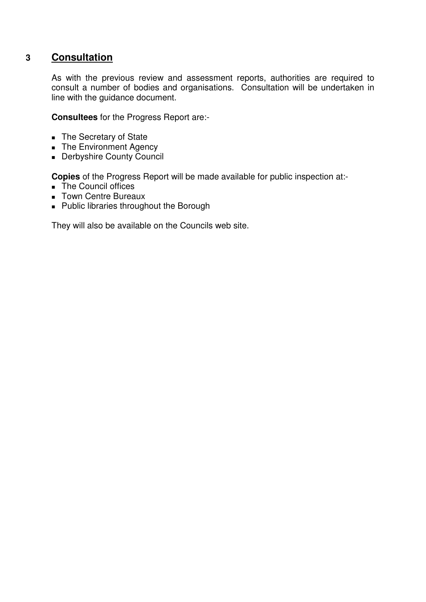## **3 Consultation**

As with the previous review and assessment reports, authorities are required to consult a number of bodies and organisations. Consultation will be undertaken in line with the guidance document.

**Consultees** for the Progress Report are:-

- The Secretary of State
- The Environment Agency
- Derbyshire County Council

**Copies** of the Progress Report will be made available for public inspection at:-

- The Council offices
- **Town Centre Bureaux**
- **Public libraries throughout the Borough**

They will also be available on the Councils web site.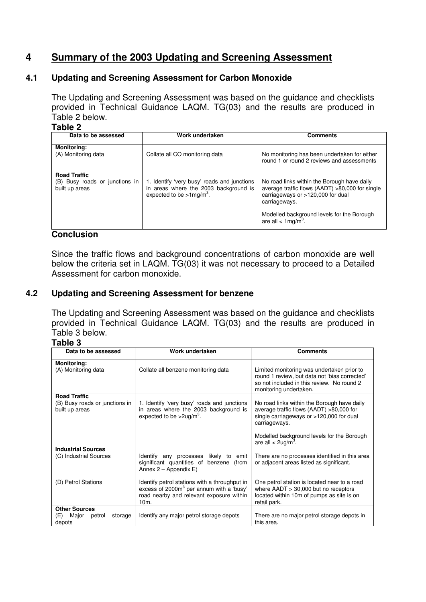## **4 Summary of the 2003 Updating and Screening Assessment**

## **4.1 Updating and Screening Assessment for Carbon Monoxide**

The Updating and Screening Assessment was based on the guidance and checklists provided in Technical Guidance LAQM. TG(03) and the results are produced in Table 2 below.

## **Table 2**

| Data to be assessed                                                     | Work undertaken                                                                                                                 | <b>Comments</b>                                                                                                                                                                                                                        |
|-------------------------------------------------------------------------|---------------------------------------------------------------------------------------------------------------------------------|----------------------------------------------------------------------------------------------------------------------------------------------------------------------------------------------------------------------------------------|
| <b>Monitoring:</b><br>(A) Monitoring data                               | Collate all CO monitoring data                                                                                                  | No monitoring has been undertaken for either<br>round 1 or round 2 reviews and assessments                                                                                                                                             |
| <b>Road Traffic</b><br>(B) Busy roads or junctions in<br>built up areas | 1. Identify 'very busy' roads and junctions<br>in areas where the 2003 background is<br>expected to be $>1$ mg/m <sup>3</sup> . | No road links within the Borough have daily<br>average traffic flows (AADT) >80,000 for single<br>carriageways or >120,000 for dual<br>carriageways.<br>Modelled background levels for the Borough<br>are all $<$ 1mg/m <sup>3</sup> . |

## **Conclusion**

Since the traffic flows and background concentrations of carbon monoxide are well below the criteria set in LAQM. TG(03) it was not necessary to proceed to a Detailed Assessment for carbon monoxide.

## **4.2 Updating and Screening Assessment for benzene**

The Updating and Screening Assessment was based on the guidance and checklists provided in Technical Guidance LAQM. TG(03) and the results are produced in Table 3 below.

## **Table 3**

| unio v                                                                     |                                                                                                                                                                       |                                                                                                                                                                                                                                             |  |  |
|----------------------------------------------------------------------------|-----------------------------------------------------------------------------------------------------------------------------------------------------------------------|---------------------------------------------------------------------------------------------------------------------------------------------------------------------------------------------------------------------------------------------|--|--|
| Data to be assessed                                                        | Work undertaken                                                                                                                                                       | <b>Comments</b>                                                                                                                                                                                                                             |  |  |
| Monitoring:<br>(A) Monitoring data                                         | Collate all benzene monitoring data                                                                                                                                   | Limited monitoring was undertaken prior to<br>round 1 review, but data not 'bias corrected'<br>so not included in this review. No round 2<br>monitoring undertaken.                                                                         |  |  |
| <b>Road Traffic</b><br>(B) Busy roads or junctions in<br>built up areas    | 1. Identify 'very busy' roads and junctions<br>in areas where the 2003 background is<br>expected to be $>$ 2ug/m <sup>3</sup> .                                       | No road links within the Borough have daily<br>average traffic flows $(AADT) > 80,000$ for<br>single carriageways or $>120,000$ for dual<br>carriageways.<br>Modelled background levels for the Borough<br>are all $<$ 2ug/m <sup>3</sup> . |  |  |
| <b>Industrial Sources</b><br>(C) Industrial Sources<br>(D) Petrol Stations | likely to<br>Identify any processes<br>emit<br>significant quantities of benzene<br>(from<br>Annex $2 -$ Appendix E)<br>Identify petrol stations with a throughput in | There are no processes identified in this area<br>or adjacent areas listed as significant.<br>One petrol station is located near to a road                                                                                                  |  |  |
|                                                                            | excess of 2000m <sup>3</sup> per annum with a 'busy'<br>road nearby and relevant exposure within<br>$10m$ .                                                           | where $AADT > 30,000$ but no receptors<br>located within 10m of pumps as site is on<br>retail park.                                                                                                                                         |  |  |
| <b>Other Sources</b><br>(E)<br>Major<br>petrol<br>storage<br>depots        | Identify any major petrol storage depots                                                                                                                              | There are no major petrol storage depots in<br>this area.                                                                                                                                                                                   |  |  |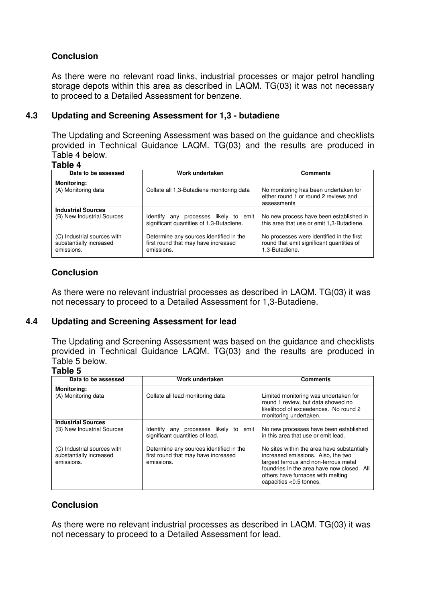## **Conclusion**

As there were no relevant road links, industrial processes or major petrol handling storage depots within this area as described in LAQM. TG(03) it was not necessary to proceed to a Detailed Assessment for benzene.

## **4.3 Updating and Screening Assessment for 1,3 - butadiene**

The Updating and Screening Assessment was based on the guidance and checklists provided in Technical Guidance LAQM. TG(03) and the results are produced in Table 4 below.

#### **Table 4**

| Data to be assessed                                                  | Work undertaken                                                                              | <b>Comments</b>                                                                                          |
|----------------------------------------------------------------------|----------------------------------------------------------------------------------------------|----------------------------------------------------------------------------------------------------------|
| <b>Monitoring:</b><br>(A) Monitoring data                            | Collate all 1,3-Butadiene monitoring data                                                    | No monitoring has been undertaken for<br>either round 1 or round 2 reviews and<br>assessments            |
| <b>Industrial Sources</b><br>(B) New Industrial Sources              | processes likely to emit<br>Identify any<br>significant quantities of 1,3-Butadiene.         | No new process have been established in<br>this area that use or emit 1,3-Butadiene.                     |
| (C) Industrial sources with<br>substantially increased<br>emissions. | Determine any sources identified in the<br>first round that may have increased<br>emissions. | No processes were identified in the first<br>round that emit significant quantities of<br>1.3-Butadiene. |

## **Conclusion**

As there were no relevant industrial processes as described in LAQM. TG(03) it was not necessary to proceed to a Detailed Assessment for 1,3-Butadiene.

## **4.4 Updating and Screening Assessment for lead**

The Updating and Screening Assessment was based on the guidance and checklists provided in Technical Guidance LAQM. TG(03) and the results are produced in Table 5 below.

## **Table 5**

| Data to be assessed                                                  | Work undertaken                                                                              | <b>Comments</b>                                                                                                                                                                                                                             |
|----------------------------------------------------------------------|----------------------------------------------------------------------------------------------|---------------------------------------------------------------------------------------------------------------------------------------------------------------------------------------------------------------------------------------------|
|                                                                      |                                                                                              |                                                                                                                                                                                                                                             |
| <b>Monitoring:</b><br>(A) Monitoring data                            | Collate all lead monitoring data                                                             | Limited monitoring was undertaken for<br>round 1 review, but data showed no<br>likelihood of exceedences. No round 2<br>monitoring undertaken.                                                                                              |
| <b>Industrial Sources</b><br>(B) New Industrial Sources              | Identify any processes likely to emit<br>significant quantities of lead.                     | No new processes have been established<br>in this area that use or emit lead.                                                                                                                                                               |
| (C) Industrial sources with<br>substantially increased<br>emissions. | Determine any sources identified in the<br>first round that may have increased<br>emissions. | No sites within the area have substantially<br>increased emissions. Also, the two<br>largest ferrous and non-ferrous metal<br>foundries in the area have now closed. All<br>others have furnaces with melting<br>capacities $< 0.5$ tonnes. |

## **Conclusion**

As there were no relevant industrial processes as described in LAQM. TG(03) it was not necessary to proceed to a Detailed Assessment for lead.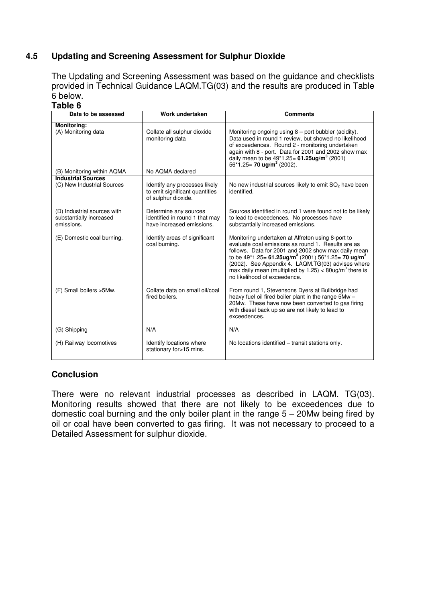## **4.5 Updating and Screening Assessment for Sulphur Dioxide**

The Updating and Screening Assessment was based on the guidance and checklists provided in Technical Guidance LAQM.TG(03) and the results are produced in Table 6 below.

## **Table 6**

| Data to be assessed                                                  | Work undertaken                                                                        | <b>Comments</b>                                                                                                                                                                                                                                                                                                                                                                                                    |
|----------------------------------------------------------------------|----------------------------------------------------------------------------------------|--------------------------------------------------------------------------------------------------------------------------------------------------------------------------------------------------------------------------------------------------------------------------------------------------------------------------------------------------------------------------------------------------------------------|
| Monitoring:                                                          |                                                                                        |                                                                                                                                                                                                                                                                                                                                                                                                                    |
| (A) Monitoring data                                                  | Collate all sulphur dioxide<br>monitoring data                                         | Monitoring ongoing using 8 – port bubbler (acidity).<br>Data used in round 1 review, but showed no likelihood<br>of exceedences. Round 2 - monitoring undertaken<br>again with 8 - port. Data for 2001 and 2002 show max<br>daily mean to be $49*1.25 = 61.25$ ug/m <sup>3</sup> (2001)<br>$56*1.25 = 70$ ug/m <sup>3</sup> (2002).                                                                                |
| (B) Monitoring within AQMA                                           | No AQMA declared                                                                       |                                                                                                                                                                                                                                                                                                                                                                                                                    |
| <b>Industrial Sources</b><br>(C) New Industrial Sources              | Identify any processes likely<br>to emit significant quantities<br>of sulphur dioxide. | No new industrial sources likely to emit $SO2$ have been<br>identified.                                                                                                                                                                                                                                                                                                                                            |
| (D) Industrial sources with<br>substantially increased<br>emissions. | Determine any sources<br>identified in round 1 that may<br>have increased emissions.   | Sources identified in round 1 were found not to be likely<br>to lead to exceedences. No processes have<br>substantially increased emissions.                                                                                                                                                                                                                                                                       |
| (E) Domestic coal burning.                                           | Identify areas of significant<br>coal burning.                                         | Monitoring undertaken at Alfreton using 8-port to<br>evaluate coal emissions as round 1. Results are as<br>follows. Data for 2001 and 2002 show max daily mean<br>to be $49*1.25 = 61.25$ ug/m <sup>3</sup> (2001) 56 $*1.25 = 70$ ug/m <sup>3</sup><br>(2002). See Appendix 4. LAQM.TG(03) advises where<br>max daily mean (multiplied by $1.25$ ) < 80ug/m <sup>3</sup> there is<br>no likelihood of exceedence. |
| (F) Small boilers > 5Mw.                                             | Collate data on small oil/coal<br>fired boilers.                                       | From round 1, Stevensons Dyers at Bullbridge had<br>heavy fuel oil fired boiler plant in the range 5Mw -<br>20Mw. These have now been converted to gas firing<br>with diesel back up so are not likely to lead to<br>exceedences.                                                                                                                                                                                  |
| (G) Shipping                                                         | N/A                                                                                    | N/A                                                                                                                                                                                                                                                                                                                                                                                                                |
| (H) Railway locomotives                                              | Identify locations where<br>stationary for>15 mins.                                    | No locations identified – transit stations only.                                                                                                                                                                                                                                                                                                                                                                   |

## **Conclusion**

There were no relevant industrial processes as described in LAQM. TG(03). Monitoring results showed that there are not likely to be exceedences due to domestic coal burning and the only boiler plant in the range 5 – 20Mw being fired by oil or coal have been converted to gas firing. It was not necessary to proceed to a Detailed Assessment for sulphur dioxide.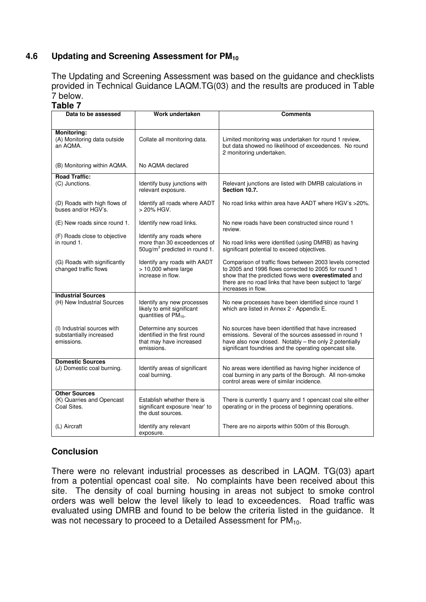## **4.6 Updating and Screening Assessment for PM<sup>10</sup>**

The Updating and Screening Assessment was based on the guidance and checklists provided in Technical Guidance LAQM.TG(03) and the results are produced in Table 7 below.

## **Table 7**

| Data to be assessed                                                  | Work undertaken                                                                                      | Comments                                                                                                                                                                                                                                                     |
|----------------------------------------------------------------------|------------------------------------------------------------------------------------------------------|--------------------------------------------------------------------------------------------------------------------------------------------------------------------------------------------------------------------------------------------------------------|
|                                                                      |                                                                                                      |                                                                                                                                                                                                                                                              |
| <b>Monitoring:</b><br>(A) Monitoring data outside<br>an AOMA.        | Collate all monitoring data.                                                                         | Limited monitoring was undertaken for round 1 review,<br>but data showed no likelihood of exceedences. No round<br>2 monitoring undertaken.                                                                                                                  |
| (B) Monitoring within AQMA.                                          | No AQMA declared                                                                                     |                                                                                                                                                                                                                                                              |
| <b>Road Traffic:</b><br>(C) Junctions.                               | Identify busy junctions with<br>relevant exposure.                                                   | Relevant junctions are listed with DMRB calculations in<br>Section 10.7.                                                                                                                                                                                     |
| (D) Roads with high flows of<br>buses and/or HGV's.                  | Identify all roads where AADT<br>> 20% HGV.                                                          | No road links within area have AADT where HGV's >20%.                                                                                                                                                                                                        |
| (E) New roads since round 1.                                         | Identify new road links.                                                                             | No new roads have been constructed since round 1<br>review.                                                                                                                                                                                                  |
| (F) Roads close to objective<br>in round 1.                          | Identify any roads where<br>more than 30 exceedences of<br>50ug/m <sup>3</sup> predicted in round 1. | No road links were identified (using DMRB) as having<br>significant potential to exceed objectives.                                                                                                                                                          |
| (G) Roads with significantly<br>changed traffic flows                | Identify any roads with AADT<br>$> 10,000$ where large<br>increase in flow.                          | Comparison of traffic flows between 2003 levels corrected<br>to 2005 and 1996 flows corrected to 2005 for round 1<br>show that the predicted flows were overestimated and<br>there are no road links that have been subject to 'large'<br>increases in flow. |
| <b>Industrial Sources</b>                                            |                                                                                                      |                                                                                                                                                                                                                                                              |
| (H) New Industrial Sources                                           | Identify any new processes<br>likely to emit significant<br>quantities of $PM_{10}$ .                | No new processes have been identified since round 1<br>which are listed in Annex 2 - Appendix E.                                                                                                                                                             |
| (I) Industrial sources with<br>substantially increased<br>emissions. | Determine any sources<br>identified in the first round<br>that may have increased<br>emissions.      | No sources have been identified that have increased<br>emissions. Several of the sources assessed in round 1<br>have also now closed. Notably - the only 2 potentially<br>significant foundries and the operating opencast site.                             |
| <b>Domestic Sources</b><br>(J) Domestic coal burning.                | Identify areas of significant<br>coal burning.                                                       | No areas were identified as having higher incidence of<br>coal burning in any parts of the Borough. All non-smoke<br>control areas were of similar incidence.                                                                                                |
| <b>Other Sources</b><br>(K) Quarries and Opencast<br>Coal Sites.     | Establish whether there is<br>significant exposure 'near' to<br>the dust sources.                    | There is currently 1 quarry and 1 opencast coal site either<br>operating or in the process of beginning operations.                                                                                                                                          |
| (L) Aircraft                                                         | Identify any relevant<br>exposure.                                                                   | There are no airports within 500m of this Borough.                                                                                                                                                                                                           |

## **Conclusion**

There were no relevant industrial processes as described in LAQM. TG(03) apart from a potential opencast coal site. No complaints have been received about this site. The density of coal burning housing in areas not subject to smoke control orders was well below the level likely to lead to exceedences. Road traffic was evaluated using DMRB and found to be below the criteria listed in the guidance. It was not necessary to proceed to a Detailed Assessment for  $PM_{10}$ .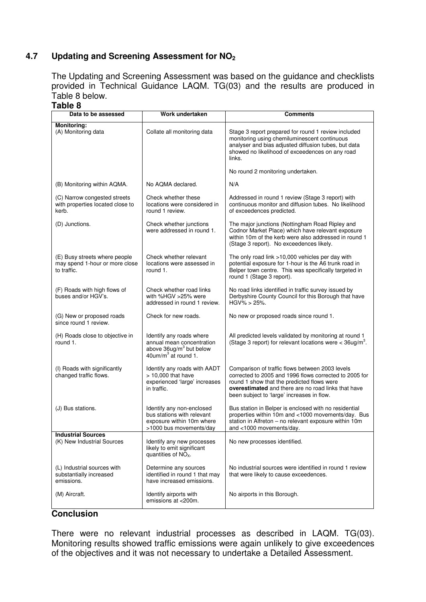## **4.7 Updating and Screening Assessment for NO<sup>2</sup>**

The Updating and Screening Assessment was based on the guidance and checklists provided in Technical Guidance LAQM. TG(03) and the results are produced in Table 8 below.

## **Table 8**

| Data to be assessed                                                            | Work undertaken                                                                                                     | <b>Comments</b>                                                                                                                                                                                                                                              |
|--------------------------------------------------------------------------------|---------------------------------------------------------------------------------------------------------------------|--------------------------------------------------------------------------------------------------------------------------------------------------------------------------------------------------------------------------------------------------------------|
| Monitoring:<br>(A) Monitoring data                                             | Collate all monitoring data                                                                                         | Stage 3 report prepared for round 1 review included<br>monitoring using chemiluminescent continuous<br>analyser and bias adjusted diffusion tubes, but data<br>showed no likelihood of exceedences on any road<br>links.                                     |
|                                                                                |                                                                                                                     | No round 2 monitoring undertaken.                                                                                                                                                                                                                            |
| (B) Monitoring within AQMA.                                                    | No AQMA declared.                                                                                                   | N/A                                                                                                                                                                                                                                                          |
| (C) Narrow congested streets<br>with properties located close to<br>kerb.      | Check whether these<br>locations were considered in<br>round 1 review.                                              | Addressed in round 1 review (Stage 3 report) with<br>continuous monitor and diffusion tubes. No likelihood<br>of exceedences predicted.                                                                                                                      |
| (D) Junctions.                                                                 | Check whether junctions<br>were addressed in round 1.                                                               | The major junctions (Nottingham Road Ripley and<br>Codnor Market Place) which have relevant exposure<br>within 10m of the kerb were also addressed in round 1<br>(Stage 3 report). No exceedences likely.                                                    |
| (E) Busy streets where people<br>may spend 1-hour or more close<br>to traffic. | Check whether relevant<br>locations were assessed in<br>round 1.                                                    | The only road link >10,000 vehicles per day with<br>potential exposure for 1-hour is the A6 trunk road in<br>Belper town centre. This was specifically targeted in<br>round 1 (Stage 3 report).                                                              |
| (F) Roads with high flows of<br>buses and/or HGV's.                            | Check whether road links<br>with %HGV >25% were<br>addressed in round 1 review.                                     | No road links identified in traffic survey issued by<br>Derbyshire County Council for this Borough that have<br>$HGV\% > 25\%.$                                                                                                                              |
| (G) New or proposed roads<br>since round 1 review.                             | Check for new roads.                                                                                                | No new or proposed roads since round 1.                                                                                                                                                                                                                      |
| (H) Roads close to objective in<br>round 1.                                    | Identify any roads where<br>annual mean concentration<br>above $36$ ug/m $3$ but below<br>$40$ um/m $3$ at round 1. | All predicted levels validated by monitoring at round 1<br>(Stage 3 report) for relevant locations were $<$ 36ug/m <sup>3</sup> .                                                                                                                            |
| (I) Roads with significantly<br>changed traffic flows.                         | Identify any roads with AADT<br>$> 10,000$ that have<br>experienced 'large' increases<br>in traffic.                | Comparison of traffic flows between 2003 levels<br>corrected to 2005 and 1996 flows corrected to 2005 for<br>round 1 show that the predicted flows were<br>overestimated and there are no road links that have<br>been subject to 'large' increases in flow. |
| (J) Bus stations.                                                              | Identify any non-enclosed<br>bus stations with relevant<br>exposure within 10m where<br>>1000 bus movements/dav     | Bus station in Belper is enclosed with no residential<br>properties within 10m and <1000 movements/day. Bus<br>station in Alfreton - no relevant exposure within 10m<br>and <1000 movements/dav.                                                             |
| <b>Industrial Sources</b>                                                      |                                                                                                                     |                                                                                                                                                                                                                                                              |
| (K) New Industrial Sources                                                     | Identify any new processes<br>likely to emit significant<br>quantities of $NOx$ .                                   | No new processes identified.                                                                                                                                                                                                                                 |
| (L) Industrial sources with<br>substantially increased<br>emissions.           | Determine any sources<br>identified in round 1 that may<br>have increased emissions.                                | No industrial sources were identified in round 1 review<br>that were likely to cause exceedences.                                                                                                                                                            |
| (M) Aircraft.                                                                  | Identify airports with<br>emissions at <200m.                                                                       | No airports in this Borough.                                                                                                                                                                                                                                 |

## **Conclusion**

There were no relevant industrial processes as described in LAQM. TG(03). Monitoring results showed traffic emissions were again unlikely to give exceedences of the objectives and it was not necessary to undertake a Detailed Assessment.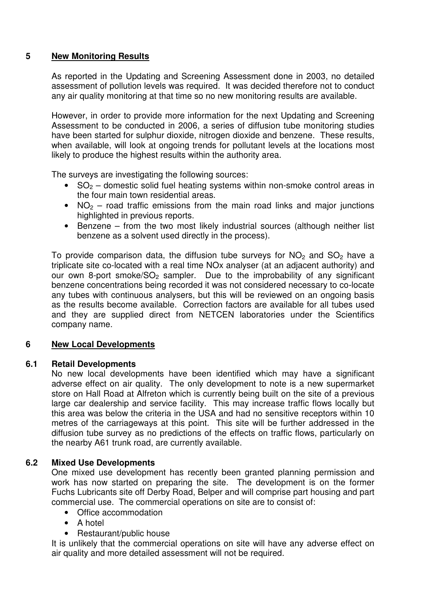## **5 New Monitoring Results**

As reported in the Updating and Screening Assessment done in 2003, no detailed assessment of pollution levels was required. It was decided therefore not to conduct any air quality monitoring at that time so no new monitoring results are available.

However, in order to provide more information for the next Updating and Screening Assessment to be conducted in 2006, a series of diffusion tube monitoring studies have been started for sulphur dioxide, nitrogen dioxide and benzene. These results, when available, will look at ongoing trends for pollutant levels at the locations most likely to produce the highest results within the authority area.

The surveys are investigating the following sources:

- $SO<sub>2</sub>$  domestic solid fuel heating systems within non-smoke control areas in the four main town residential areas.
- $NO<sub>2</sub>$  road traffic emissions from the main road links and major junctions highlighted in previous reports.
- Benzene from the two most likely industrial sources (although neither list benzene as a solvent used directly in the process).

To provide comparison data, the diffusion tube surveys for  $NO<sub>2</sub>$  and  $SO<sub>2</sub>$  have a triplicate site co-located with a real time NOx analyser (at an adjacent authority) and our own 8-port smoke/SO<sub>2</sub> sampler. Due to the improbability of any significant benzene concentrations being recorded it was not considered necessary to co-locate any tubes with continuous analysers, but this will be reviewed on an ongoing basis as the results become available. Correction factors are available for all tubes used and they are supplied direct from NETCEN laboratories under the Scientifics company name.

## **6 New Local Developments**

## **6.1 Retail Developments**

No new local developments have been identified which may have a significant adverse effect on air quality. The only development to note is a new supermarket store on Hall Road at Alfreton which is currently being built on the site of a previous large car dealership and service facility. This may increase traffic flows locally but this area was below the criteria in the USA and had no sensitive receptors within 10 metres of the carriageways at this point. This site will be further addressed in the diffusion tube survey as no predictions of the effects on traffic flows, particularly on the nearby A61 trunk road, are currently available.

## **6.2 Mixed Use Developments**

One mixed use development has recently been granted planning permission and work has now started on preparing the site. The development is on the former Fuchs Lubricants site off Derby Road, Belper and will comprise part housing and part commercial use. The commercial operations on site are to consist of:

- Office accommodation
- A hotel
- Restaurant/public house

It is unlikely that the commercial operations on site will have any adverse effect on air quality and more detailed assessment will not be required.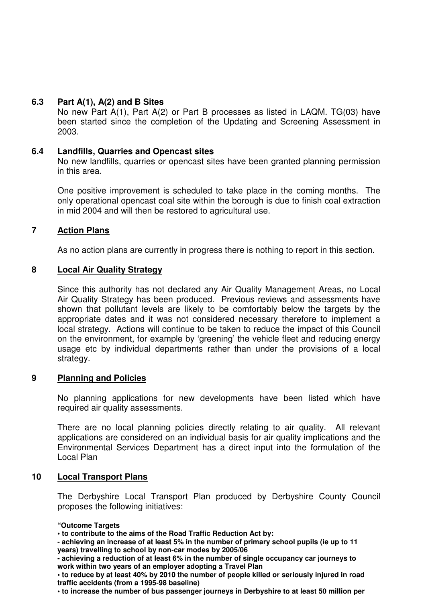## **6.3 Part A(1), A(2) and B Sites**

No new Part A(1), Part A(2) or Part B processes as listed in LAQM. TG(03) have been started since the completion of the Updating and Screening Assessment in 2003.

## **6.4 Landfills, Quarries and Opencast sites**

No new landfills, quarries or opencast sites have been granted planning permission in this area.

One positive improvement is scheduled to take place in the coming months. The only operational opencast coal site within the borough is due to finish coal extraction in mid 2004 and will then be restored to agricultural use.

## **7 Action Plans**

As no action plans are currently in progress there is nothing to report in this section.

## **8 Local Air Quality Strategy**

Since this authority has not declared any Air Quality Management Areas, no Local Air Quality Strategy has been produced. Previous reviews and assessments have shown that pollutant levels are likely to be comfortably below the targets by the appropriate dates and it was not considered necessary therefore to implement a local strategy. Actions will continue to be taken to reduce the impact of this Council on the environment, for example by 'greening' the vehicle fleet and reducing energy usage etc by individual departments rather than under the provisions of a local strategy.

## **9 Planning and Policies**

No planning applications for new developments have been listed which have required air quality assessments.

There are no local planning policies directly relating to air quality. All relevant applications are considered on an individual basis for air quality implications and the Environmental Services Department has a direct input into the formulation of the Local Plan

## **10 Local Transport Plans**

The Derbyshire Local Transport Plan produced by Derbyshire County Council proposes the following initiatives:

**"Outcome Targets** 

**• to contribute to the aims of the Road Traffic Reduction Act by:** 

**- achieving an increase of at least 5% in the number of primary school pupils (ie up to 11 years) travelling to school by non-car modes by 2005/06** 

**- achieving a reduction of at least 6% in the number of single occupancy car journeys to work within two years of an employer adopting a Travel Plan** 

**• to reduce by at least 40% by 2010 the number of people killed or seriously injured in road traffic accidents (from a 1995-98 baseline)** 

**• to increase the number of bus passenger journeys in Derbyshire to at least 50 million per**